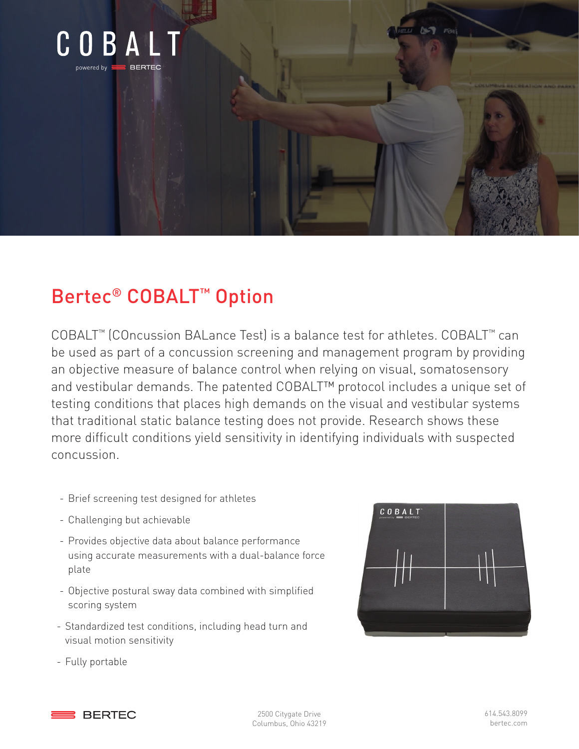

## Bertec® COBALT™ Option

COBALT™ (COncussion BALance Test) is a balance test for athletes. COBALT™ can be used as part of a concussion screening and management program by providing an objective measure of balance control when relying on visual, somatosensory and vestibular demands. The patented COBALT™ protocol includes a unique set of testing conditions that places high demands on the visual and vestibular systems that traditional static balance testing does not provide. Research shows these more difficult conditions yield sensitivity in identifying individuals with suspected concussion.

- Brief screening test designed for athletes
- Challenging but achievable
- Provides objective data about balance performance using accurate measurements with a dual-balance force plate
- Objective postural sway data combined with simplified scoring system
- Standardized test conditions, including head turn and visual motion sensitivity
- COBALT

- Fully portable